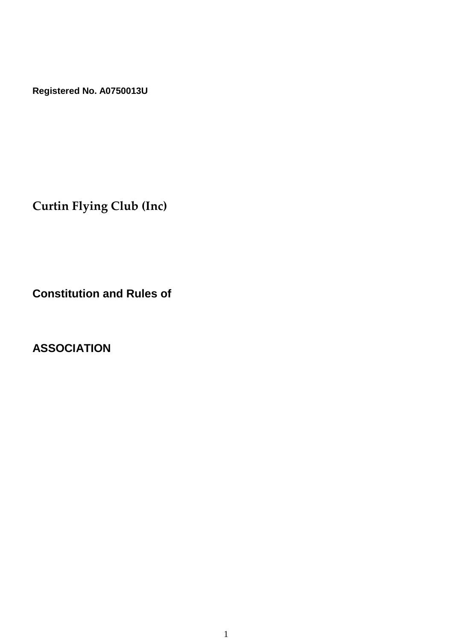**Registered No. A0750013U**

**Curtin Flying Club (Inc)**

**Constitution and Rules of**

**ASSOCIATION**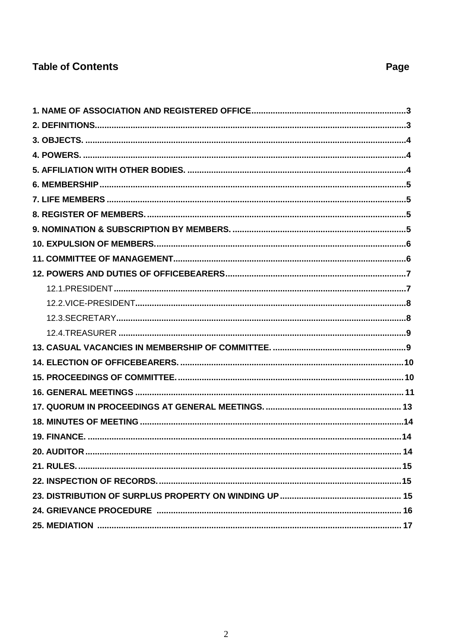# **Table of Contents**

Page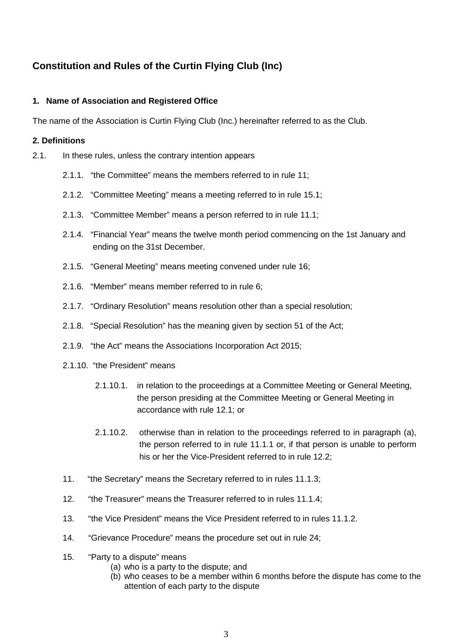# **Constitution and Rules of the Curtin Flying Club (Inc)**

# **1. Name of Association and Registered Office**

The name of the Association is Curtin Flying Club (Inc.) hereinafter referred to as the Club.

# **2. Definitions**

- 2.1. In these rules, unless the contrary intention appears
	- 2.1.1. "the Committee" means the members referred to in rule 11;
	- 2.1.2. "Committee Meeting" means a meeting referred to in rule 15.1;
	- 2.1.3. "Committee Member" means a person referred to in rule 11.1;
	- 2.1.4. "Financial Year" means the twelve month period commencing on the 1st January and ending on the 31st December.
	- 2.1.5. "General Meeting" means meeting convened under rule 16;
	- 2.1.6. "Member" means member referred to in rule 6;
	- 2.1.7. "Ordinary Resolution" means resolution other than a special resolution;
	- 2.1.8. "Special Resolution" has the meaning given by section 51 of the Act;
	- 2.1.9. "the Act" means the Associations Incorporation Act 2015;
	- 2.1.10. "the President" means
		- 2.1.10.1. in relation to the proceedings at a Committee Meeting or General Meeting, the person presiding at the Committee Meeting or General Meeting in accordance with rule 12.1; or
		- 2.1.10.2. otherwise than in relation to the proceedings referred to in paragraph (a), the person referred to in rule 11.1.1 or, if that person is unable to perform his or her the Vice-President referred to in rule 12.2;
	- 11. "the Secretary" means the Secretary referred to in rules 11.1.3;
	- 12. "the Treasurer" means the Treasurer referred to in rules 11.1.4;
	- 13. "the Vice President" means the Vice President referred to in rules 11.1.2.
	- 14. "Grievance Procedure" means the procedure set out in rule 24;
	- 15. "Party to a dispute" means
		- (a) who is a party to the dispute; and
		- (b) who ceases to be a member within 6 months before the dispute has come to the attention of each party to the dispute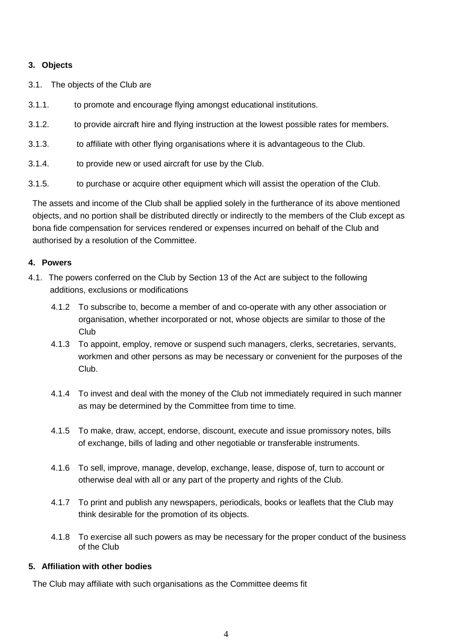# **3. Objects**

- 3.1. The objects of the Club are
- 3.1.1. to promote and encourage flying amongst educational institutions.
- 3.1.2. to provide aircraft hire and flying instruction at the lowest possible rates for members.
- 3.1.3. to affiliate with other flying organisations where it is advantageous to the Club.
- 3.1.4. to provide new or used aircraft for use by the Club.
- 3.1.5. to purchase or acquire other equipment which will assist the operation of the Club.

The assets and income of the Club shall be applied solely in the furtherance of its above mentioned objects, and no portion shall be distributed directly or indirectly to the members of the Club except as bona fide compensation for services rendered or expenses incurred on behalf of the Club and authorised by a resolution of the Committee.

# **4. Powers**

- 4.1. The powers conferred on the Club by Section 13 of the Act are subject to the following additions, exclusions or modifications
	- 4.1.2 To subscribe to, become a member of and co-operate with any other association or organisation, whether incorporated or not, whose objects are similar to those of the Club
	- 4.1.3 To appoint, employ, remove or suspend such managers, clerks, secretaries, servants, workmen and other persons as may be necessary or convenient for the purposes of the Club.
	- 4.1.4 To invest and deal with the money of the Club not immediately required in such manner as may be determined by the Committee from time to time.
	- 4.1.5 To make, draw, accept, endorse, discount, execute and issue promissory notes, bills of exchange, bills of lading and other negotiable or transferable instruments.
	- 4.1.6 To sell, improve, manage, develop, exchange, lease, dispose of, turn to account or otherwise deal with all or any part of the property and rights of the Club.
	- 4.1.7 To print and publish any newspapers, periodicals, books or leaflets that the Club may think desirable for the promotion of its objects.
	- 4.1.8 To exercise all such powers as may be necessary for the proper conduct of the business of the Club

## **5. Affiliation with other bodies**

The Club may affiliate with such organisations as the Committee deems fit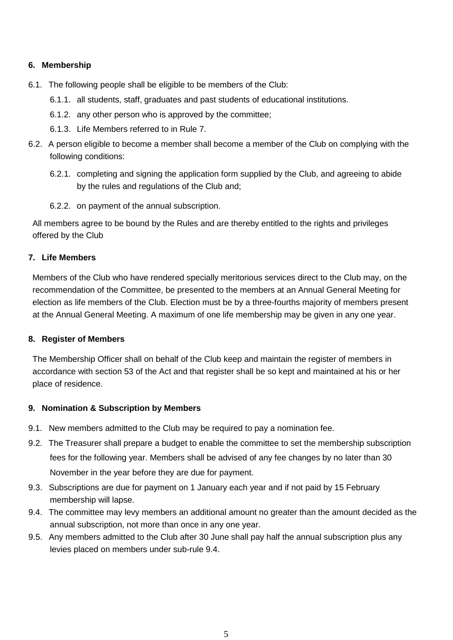# **6. Membership**

- 6.1. The following people shall be eligible to be members of the Club:
	- 6.1.1. all students, staff, graduates and past students of educational institutions.
	- 6.1.2. any other person who is approved by the committee;
	- 6.1.3. Life Members referred to in Rule 7.
- 6.2. A person eligible to become a member shall become a member of the Club on complying with the following conditions:
	- 6.2.1. completing and signing the application form supplied by the Club, and agreeing to abide by the rules and regulations of the Club and;
	- 6.2.2. on payment of the annual subscription.

All members agree to be bound by the Rules and are thereby entitled to the rights and privileges offered by the Club

# **7. Life Members**

Members of the Club who have rendered specially meritorious services direct to the Club may, on the recommendation of the Committee, be presented to the members at an Annual General Meeting for election as life members of the Club. Election must be by a three-fourths majority of members present at the Annual General Meeting. A maximum of one life membership may be given in any one year.

## **8. Register of Members**

The Membership Officer shall on behalf of the Club keep and maintain the register of members in accordance with section 53 of the Act and that register shall be so kept and maintained at his or her place of residence.

## **9. Nomination & Subscription by Members**

- 9.1. New members admitted to the Club may be required to pay a nomination fee.
- 9.2. The Treasurer shall prepare a budget to enable the committee to set the membership subscription fees for the following year. Members shall be advised of any fee changes by no later than 30 November in the year before they are due for payment.
- 9.3. Subscriptions are due for payment on 1 January each year and if not paid by 15 February membership will lapse.
- 9.4. The committee may levy members an additional amount no greater than the amount decided as the annual subscription, not more than once in any one year.
- 9.5. Any members admitted to the Club after 30 June shall pay half the annual subscription plus any levies placed on members under sub-rule 9.4.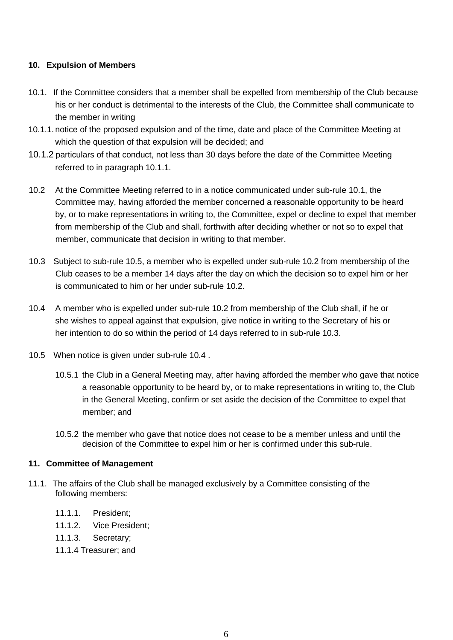# **10. Expulsion of Members**

- 10.1. If the Committee considers that a member shall be expelled from membership of the Club because his or her conduct is detrimental to the interests of the Club, the Committee shall communicate to the member in writing
- 10.1.1. notice of the proposed expulsion and of the time, date and place of the Committee Meeting at which the question of that expulsion will be decided; and
- 10.1.2 particulars of that conduct, not less than 30 days before the date of the Committee Meeting referred to in paragraph 10.1.1.
- 10.2 At the Committee Meeting referred to in a notice communicated under sub-rule 10.1, the Committee may, having afforded the member concerned a reasonable opportunity to be heard by, or to make representations in writing to, the Committee, expel or decline to expel that member from membership of the Club and shall, forthwith after deciding whether or not so to expel that member, communicate that decision in writing to that member.
- 10.3 Subject to sub-rule 10.5, a member who is expelled under sub-rule 10.2 from membership of the Club ceases to be a member 14 days after the day on which the decision so to expel him or her is communicated to him or her under sub-rule 10.2.
- 10.4 A member who is expelled under sub-rule 10.2 from membership of the Club shall, if he or she wishes to appeal against that expulsion, give notice in writing to the Secretary of his or her intention to do so within the period of 14 days referred to in sub-rule 10.3.
- 10.5 When notice is given under sub-rule 10.4 .
	- 10.5.1 the Club in a General Meeting may, after having afforded the member who gave that notice a reasonable opportunity to be heard by, or to make representations in writing to, the Club in the General Meeting, confirm or set aside the decision of the Committee to expel that member; and
	- 10.5.2 the member who gave that notice does not cease to be a member unless and until the decision of the Committee to expel him or her is confirmed under this sub-rule.

## **11. Committee of Management**

- 11.1. The affairs of the Club shall be managed exclusively by a Committee consisting of the following members:
	- 11.1.1. President;
	- 11.1.2. Vice President;
	- 11.1.3. Secretary;
	- 11.1.4 Treasurer; and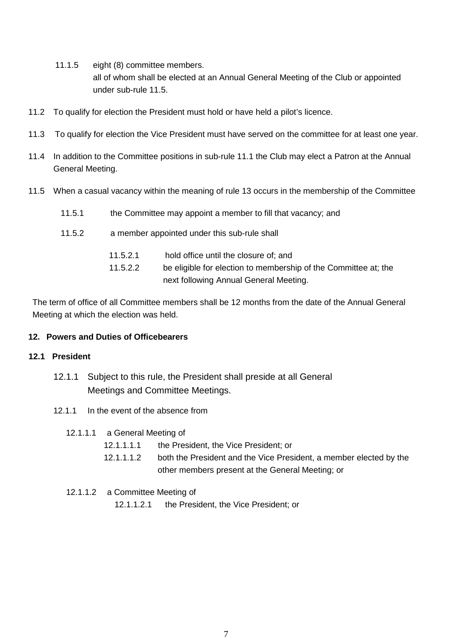- 11.1.5 eight (8) committee members. all of whom shall be elected at an Annual General Meeting of the Club or appointed under sub-rule 11.5.
- 11.2 To qualify for election the President must hold or have held a pilot's licence.
- 11.3 To qualify for election the Vice President must have served on the committee for at least one year.
- 11.4 In addition to the Committee positions in sub-rule 11.1 the Club may elect a Patron at the Annual General Meeting.
- 11.5 When a casual vacancy within the meaning of rule 13 occurs in the membership of the Committee
	- 11.5.1 the Committee may appoint a member to fill that vacancy; and
	- 11.5.2 a member appointed under this sub-rule shall

| 11.5.2.1 | hold office until the closure of; and                           |
|----------|-----------------------------------------------------------------|
| 11.5.2.2 | be eligible for election to membership of the Committee at; the |
|          | next following Annual General Meeting.                          |

The term of office of all Committee members shall be 12 months from the date of the Annual General Meeting at which the election was held.

#### **12. Powers and Duties of Officebearers**

#### **12.1 President**

- 12.1.1 Subject to this rule, the President shall preside at all General Meetings and Committee Meetings.
- 12.1.1 In the event of the absence from
	- 12.1.1.1 a General Meeting of
		- 12.1.1.1.1 the President, the Vice President; or
		- 12.1.1.1.2 both the President and the Vice President, a member elected by the other members present at the General Meeting; or
	- 12.1.1.2 a Committee Meeting of 12.1.1.2.1 the President, the Vice President; or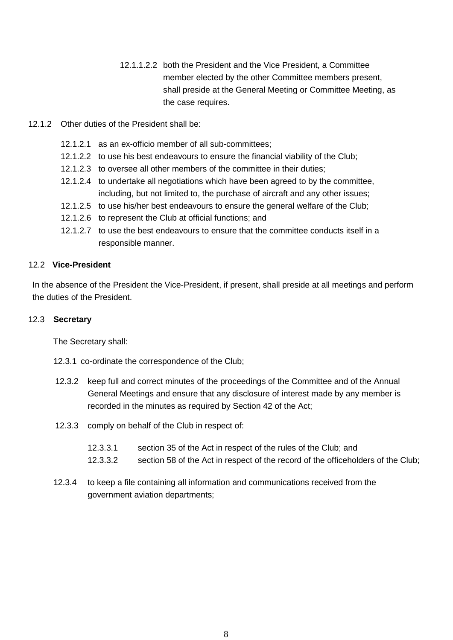- 12.1.1.2.2 both the President and the Vice President, a Committee member elected by the other Committee members present, shall preside at the General Meeting or Committee Meeting, as the case requires.
- 12.1.2 Other duties of the President shall be:
	- 12.1.2.1 as an ex-officio member of all sub-committees;
	- 12.1.2.2 to use his best endeavours to ensure the financial viability of the Club;
	- 12.1.2.3 to oversee all other members of the committee in their duties;
	- 12.1.2.4 to undertake all negotiations which have been agreed to by the committee, including, but not limited to, the purchase of aircraft and any other issues;
	- 12.1.2.5 to use his/her best endeavours to ensure the general welfare of the Club;
	- 12.1.2.6 to represent the Club at official functions; and
	- 12.1.2.7 to use the best endeavours to ensure that the committee conducts itself in a responsible manner.

## 12.2 **Vice-President**

In the absence of the President the Vice-President, if present, shall preside at all meetings and perform the duties of the President.

## 12.3 **Secretary**

The Secretary shall:

12.3.1 co-ordinate the correspondence of the Club;

- 12.3.2 keep full and correct minutes of the proceedings of the Committee and of the Annual General Meetings and ensure that any disclosure of interest made by any member is recorded in the minutes as required by Section 42 of the Act;
- 12.3.3 comply on behalf of the Club in respect of:
	- 12.3.3.1 section 35 of the Act in respect of the rules of the Club; and
	- 12.3.3.2 section 58 of the Act in respect of the record of the officeholders of the Club;
- 12.3.4 to keep a file containing all information and communications received from the government aviation departments;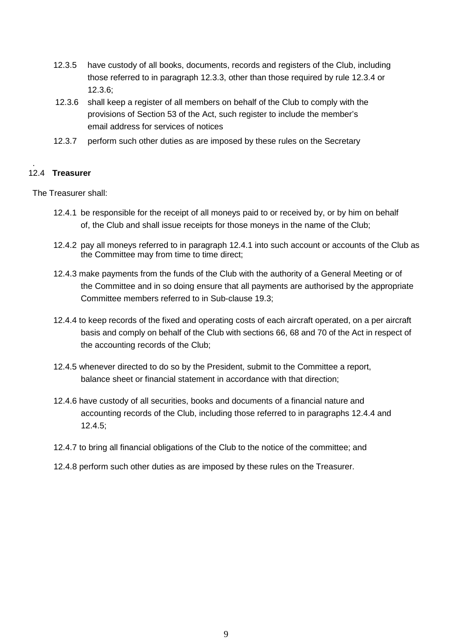- 12.3.5 have custody of all books, documents, records and registers of the Club, including those referred to in paragraph 12.3.3, other than those required by rule 12.3.4 or 12.3.6;
- 12.3.6 shall keep a register of all members on behalf of the Club to comply with the provisions of Section 53 of the Act, such register to include the member's email address for services of notices
- 12.3.7 perform such other duties as are imposed by these rules on the Secretary

#### . 12.4 **Treasurer**

The Treasurer shall:

- 12.4.1 be responsible for the receipt of all moneys paid to or received by, or by him on behalf of, the Club and shall issue receipts for those moneys in the name of the Club;
- 12.4.2 pay all moneys referred to in paragraph 12.4.1 into such account or accounts of the Club as the Committee may from time to time direct;
- 12.4.3 make payments from the funds of the Club with the authority of a General Meeting or of the Committee and in so doing ensure that all payments are authorised by the appropriate Committee members referred to in Sub-clause 19.3;
- 12.4.4 to keep records of the fixed and operating costs of each aircraft operated, on a per aircraft basis and comply on behalf of the Club with sections 66, 68 and 70 of the Act in respect of the accounting records of the Club;
- 12.4.5 whenever directed to do so by the President, submit to the Committee a report, balance sheet or financial statement in accordance with that direction;
- 12.4.6 have custody of all securities, books and documents of a financial nature and accounting records of the Club, including those referred to in paragraphs 12.4.4 and 12.4.5;
- 12.4.7 to bring all financial obligations of the Club to the notice of the committee; and
- 12.4.8 perform such other duties as are imposed by these rules on the Treasurer.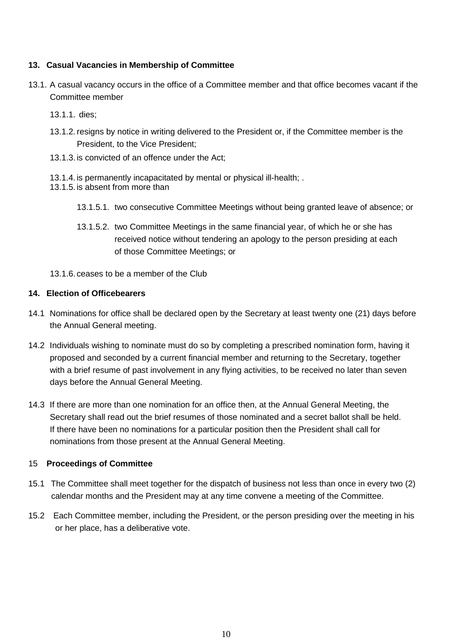# **13. Casual Vacancies in Membership of Committee**

- 13.1. A casual vacancy occurs in the office of a Committee member and that office becomes vacant if the Committee member
	- 13.1.1. dies;
	- 13.1.2. resigns by notice in writing delivered to the President or, if the Committee member is the President, to the Vice President;
	- 13.1.3. is convicted of an offence under the Act;
	- 13.1.4. is permanently incapacitated by mental or physical ill-health; .
	- 13.1.5. is absent from more than
		- 13.1.5.1. two consecutive Committee Meetings without being granted leave of absence; or
		- 13.1.5.2. two Committee Meetings in the same financial year, of which he or she has received notice without tendering an apology to the person presiding at each of those Committee Meetings; or

13.1.6. ceases to be a member of the Club

## **14. Election of Officebearers**

- 14.1 Nominations for office shall be declared open by the Secretary at least twenty one (21) days before the Annual General meeting.
- 14.2 Individuals wishing to nominate must do so by completing a prescribed nomination form, having it proposed and seconded by a current financial member and returning to the Secretary, together with a brief resume of past involvement in any flying activities, to be received no later than seven days before the Annual General Meeting.
- 14.3 If there are more than one nomination for an office then, at the Annual General Meeting, the Secretary shall read out the brief resumes of those nominated and a secret ballot shall be held. If there have been no nominations for a particular position then the President shall call for nominations from those present at the Annual General Meeting.

# 15 **Proceedings of Committee**

- 15.1 The Committee shall meet together for the dispatch of business not less than once in every two (2) calendar months and the President may at any time convene a meeting of the Committee.
- 15.2 Each Committee member, including the President, or the person presiding over the meeting in his or her place, has a deliberative vote.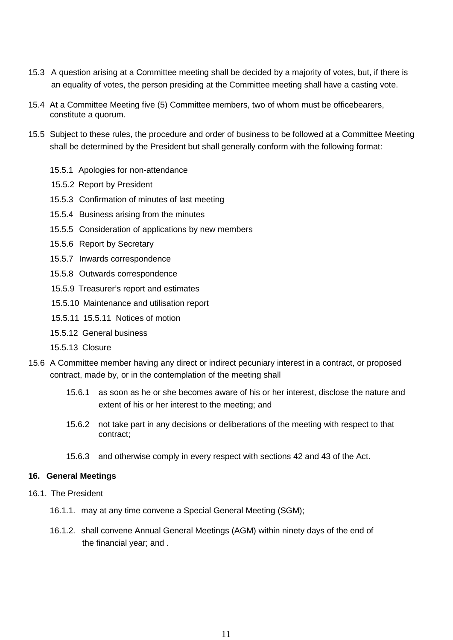- 15.3 A question arising at a Committee meeting shall be decided by a majority of votes, but, if there is an equality of votes, the person presiding at the Committee meeting shall have a casting vote.
- 15.4 At a Committee Meeting five (5) Committee members, two of whom must be officebearers, constitute a quorum.
- 15.5 Subject to these rules, the procedure and order of business to be followed at a Committee Meeting shall be determined by the President but shall generally conform with the following format:
	- 15.5.1 Apologies for non-attendance
	- 15.5.2 Report by President
	- 15.5.3 Confirmation of minutes of last meeting
	- 15.5.4 Business arising from the minutes
	- 15.5.5 Consideration of applications by new members
	- 15.5.6 Report by Secretary
	- 15.5.7 Inwards correspondence
	- 15.5.8 Outwards correspondence
	- 15.5.9 Treasurer's report and estimates
	- 15.5.10 Maintenance and utilisation report
	- 15.5.11 15.5.11 Notices of motion
	- 15.5.12 General business
	- 15.5.13 Closure
- 15.6 A Committee member having any direct or indirect pecuniary interest in a contract, or proposed contract, made by, or in the contemplation of the meeting shall
	- 15.6.1 as soon as he or she becomes aware of his or her interest, disclose the nature and extent of his or her interest to the meeting; and
	- 15.6.2 not take part in any decisions or deliberations of the meeting with respect to that contract;
	- 15.6.3 and otherwise comply in every respect with sections 42 and 43 of the Act.

#### **16. General Meetings**

- 16.1. The President
	- 16.1.1. may at any time convene a Special General Meeting (SGM);
	- 16.1.2. shall convene Annual General Meetings (AGM) within ninety days of the end of the financial year; and .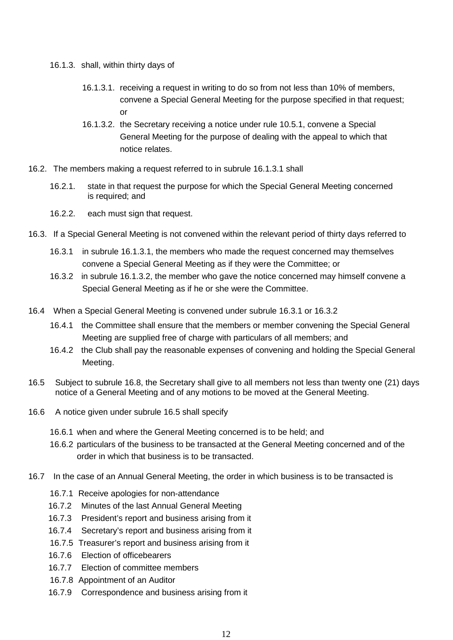- 16.1.3. shall, within thirty days of
	- 16.1.3.1. receiving a request in writing to do so from not less than 10% of members, convene a Special General Meeting for the purpose specified in that request; or
	- 16.1.3.2. the Secretary receiving a notice under rule 10.5.1, convene a Special General Meeting for the purpose of dealing with the appeal to which that notice relates.
- 16.2. The members making a request referred to in subrule 16.1.3.1 shall
	- 16.2.1. state in that request the purpose for which the Special General Meeting concerned is required; and
	- 16.2.2. each must sign that request.
- 16.3. If a Special General Meeting is not convened within the relevant period of thirty days referred to
	- 16.3.1 in subrule 16.1.3.1, the members who made the request concerned may themselves convene a Special General Meeting as if they were the Committee; or
	- 16.3.2 in subrule 16.1.3.2, the member who gave the notice concerned may himself convene a Special General Meeting as if he or she were the Committee.
- 16.4 When a Special General Meeting is convened under subrule 16.3.1 or 16.3.2
	- 16.4.1 the Committee shall ensure that the members or member convening the Special General Meeting are supplied free of charge with particulars of all members; and
	- 16.4.2 the Club shall pay the reasonable expenses of convening and holding the Special General Meeting.
- 16.5 Subject to subrule 16.8, the Secretary shall give to all members not less than twenty one (21) days notice of a General Meeting and of any motions to be moved at the General Meeting.
- 16.6 A notice given under subrule 16.5 shall specify
	- 16.6.1 when and where the General Meeting concerned is to be held; and
	- 16.6.2 particulars of the business to be transacted at the General Meeting concerned and of the order in which that business is to be transacted.
- 16.7 In the case of an Annual General Meeting, the order in which business is to be transacted is
	- 16.7.1 Receive apologies for non-attendance
	- 16.7.2 Minutes of the last Annual General Meeting
	- 16.7.3 President's report and business arising from it
	- 16.7.4 Secretary's report and business arising from it
	- 16.7.5 Treasurer's report and business arising from it
	- 16.7.6 Election of officebearers
	- 16.7.7 Election of committee members
	- 16.7.8 Appointment of an Auditor
	- 16.7.9 Correspondence and business arising from it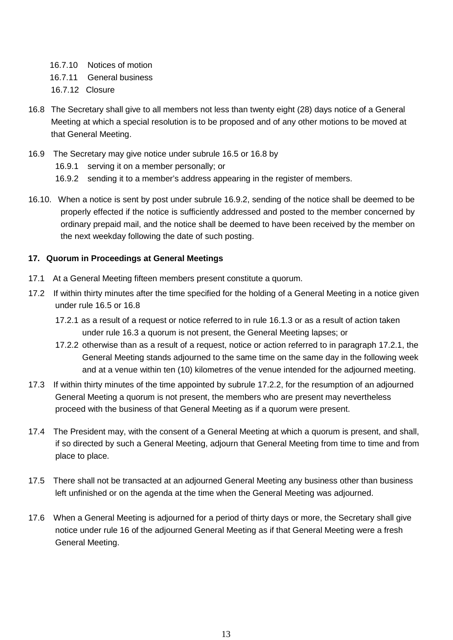- 16.7.10 Notices of motion
- 16.7.11 General business
- 16.7.12 Closure
- 16.8 The Secretary shall give to all members not less than twenty eight (28) days notice of a General Meeting at which a special resolution is to be proposed and of any other motions to be moved at that General Meeting.
- 16.9 The Secretary may give notice under subrule 16.5 or 16.8 by
	- 16.9.1 serving it on a member personally; or
	- 16.9.2 sending it to a member's address appearing in the register of members.
- 16.10. When a notice is sent by post under subrule 16.9.2, sending of the notice shall be deemed to be properly effected if the notice is sufficiently addressed and posted to the member concerned by ordinary prepaid mail, and the notice shall be deemed to have been received by the member on the next weekday following the date of such posting.

# **17. Quorum in Proceedings at General Meetings**

- 17.1 At a General Meeting fifteen members present constitute a quorum.
- 17.2 If within thirty minutes after the time specified for the holding of a General Meeting in a notice given under rule 16.5 or 16.8
	- 17.2.1 as a result of a request or notice referred to in rule 16.1.3 or as a result of action taken under rule 16.3 a quorum is not present, the General Meeting lapses; or
	- 17.2.2 otherwise than as a result of a request, notice or action referred to in paragraph 17.2.1, the General Meeting stands adjourned to the same time on the same day in the following week and at a venue within ten (10) kilometres of the venue intended for the adjourned meeting.
- 17.3 If within thirty minutes of the time appointed by subrule 17.2.2, for the resumption of an adjourned General Meeting a quorum is not present, the members who are present may nevertheless proceed with the business of that General Meeting as if a quorum were present.
- 17.4 The President may, with the consent of a General Meeting at which a quorum is present, and shall, if so directed by such a General Meeting, adjourn that General Meeting from time to time and from place to place.
- 17.5 There shall not be transacted at an adjourned General Meeting any business other than business left unfinished or on the agenda at the time when the General Meeting was adjourned.
- 17.6 When a General Meeting is adjourned for a period of thirty days or more, the Secretary shall give notice under rule 16 of the adjourned General Meeting as if that General Meeting were a fresh General Meeting.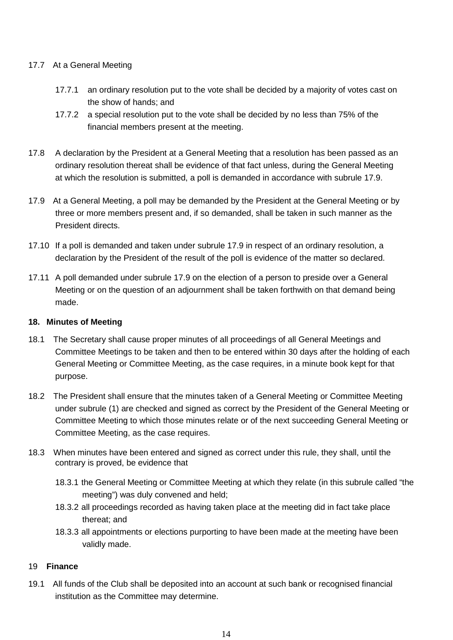# 17.7 At a General Meeting

- 17.7.1 an ordinary resolution put to the vote shall be decided by a majority of votes cast on the show of hands; and
- 17.7.2 a special resolution put to the vote shall be decided by no less than 75% of the financial members present at the meeting.
- 17.8 A declaration by the President at a General Meeting that a resolution has been passed as an ordinary resolution thereat shall be evidence of that fact unless, during the General Meeting at which the resolution is submitted, a poll is demanded in accordance with subrule 17.9.
- 17.9 At a General Meeting, a poll may be demanded by the President at the General Meeting or by three or more members present and, if so demanded, shall be taken in such manner as the President directs.
- 17.10 If a poll is demanded and taken under subrule 17.9 in respect of an ordinary resolution, a declaration by the President of the result of the poll is evidence of the matter so declared.
- 17.11 A poll demanded under subrule 17.9 on the election of a person to preside over a General Meeting or on the question of an adjournment shall be taken forthwith on that demand being made.

# **18. Minutes of Meeting**

- 18.1 The Secretary shall cause proper minutes of all proceedings of all General Meetings and Committee Meetings to be taken and then to be entered within 30 days after the holding of each General Meeting or Committee Meeting, as the case requires, in a minute book kept for that purpose.
- 18.2 The President shall ensure that the minutes taken of a General Meeting or Committee Meeting under subrule (1) are checked and signed as correct by the President of the General Meeting or Committee Meeting to which those minutes relate or of the next succeeding General Meeting or Committee Meeting, as the case requires.
- 18.3 When minutes have been entered and signed as correct under this rule, they shall, until the contrary is proved, be evidence that
	- 18.3.1 the General Meeting or Committee Meeting at which they relate (in this subrule called "the meeting") was duly convened and held;
	- 18.3.2 all proceedings recorded as having taken place at the meeting did in fact take place thereat; and
	- 18.3.3 all appointments or elections purporting to have been made at the meeting have been validly made.

## 19 **Finance**

19.1 All funds of the Club shall be deposited into an account at such bank or recognised financial institution as the Committee may determine.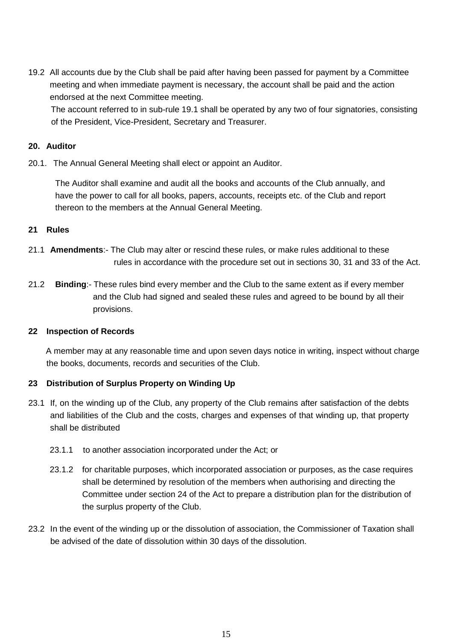19.2 All accounts due by the Club shall be paid after having been passed for payment by a Committee meeting and when immediate payment is necessary, the account shall be paid and the action endorsed at the next Committee meeting.

The account referred to in sub-rule 19.1 shall be operated by any two of four signatories, consisting of the President, Vice-President, Secretary and Treasurer.

# **20. Auditor**

20.1. The Annual General Meeting shall elect or appoint an Auditor.

The Auditor shall examine and audit all the books and accounts of the Club annually, and have the power to call for all books, papers, accounts, receipts etc. of the Club and report thereon to the members at the Annual General Meeting.

## **21 Rules**

- 21.1 **Amendments**:- The Club may alter or rescind these rules, or make rules additional to these rules in accordance with the procedure set out in sections 30, 31 and 33 of the Act.
- 21.2 **Binding**:- These rules bind every member and the Club to the same extent as if every member and the Club had signed and sealed these rules and agreed to be bound by all their provisions.

## **22 Inspection of Records**

A member may at any reasonable time and upon seven days notice in writing, inspect without charge the books, documents, records and securities of the Club.

# **23 Distribution of Surplus Property on Winding Up**

- 23.1 If, on the winding up of the Club, any property of the Club remains after satisfaction of the debts and liabilities of the Club and the costs, charges and expenses of that winding up, that property shall be distributed
	- 23.1.1 to another association incorporated under the Act; or
	- 23.1.2 for charitable purposes, which incorporated association or purposes, as the case requires shall be determined by resolution of the members when authorising and directing the Committee under section 24 of the Act to prepare a distribution plan for the distribution of the surplus property of the Club.
- 23.2 In the event of the winding up or the dissolution of association, the Commissioner of Taxation shall be advised of the date of dissolution within 30 days of the dissolution.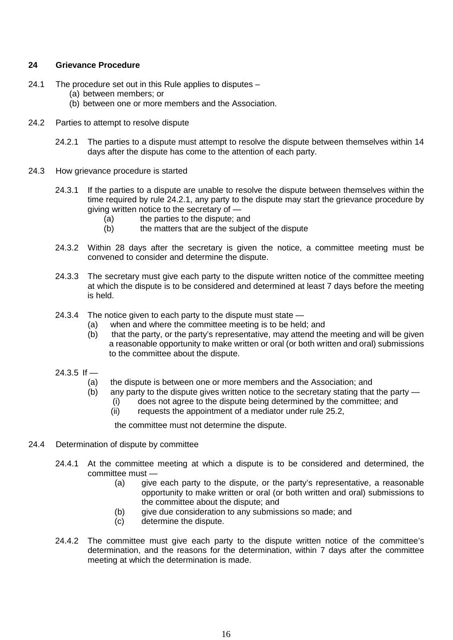#### **24 Grievance Procedure**

- 24.1 The procedure set out in this Rule applies to disputes
	- (a) between members; or
	- (b) between one or more members and the Association.
- 24.2 Parties to attempt to resolve dispute
	- 24.2.1 The parties to a dispute must attempt to resolve the dispute between themselves within 14 days after the dispute has come to the attention of each party.
- 24.3 How grievance procedure is started
	- 24.3.1 If the parties to a dispute are unable to resolve the dispute between themselves within the time required by rule 24.2.1, any party to the dispute may start the grievance procedure by giving written notice to the secretary of —
		- (a) the parties to the dispute; and<br>(b) the matters that are the subject
		- the matters that are the subject of the dispute
	- 24.3.2 Within 28 days after the secretary is given the notice, a committee meeting must be convened to consider and determine the dispute.
	- 24.3.3 The secretary must give each party to the dispute written notice of the committee meeting at which the dispute is to be considered and determined at least 7 days before the meeting is held.
	- 24.3.4 The notice given to each party to the dispute must state
		- (a) when and where the committee meeting is to be held; and
		- (b) that the party, or the party's representative, may attend the meeting and will be given a reasonable opportunity to make written or oral (or both written and oral) submissions to the committee about the dispute.
	- $24.3.5$  If
		- (a) the dispute is between one or more members and the Association; and
		- (b) any party to the dispute gives written notice to the secretary stating that the party
			- (i) does not agree to the dispute being determined by the committee; and
			- (ii) requests the appointment of a mediator under rule 25.2,

the committee must not determine the dispute.

#### 24.4 Determination of dispute by committee

- 24.4.1 At the committee meeting at which a dispute is to be considered and determined, the committee must —
	- (a) give each party to the dispute, or the party's representative, a reasonable opportunity to make written or oral (or both written and oral) submissions to the committee about the dispute; and
	- (b) give due consideration to any submissions so made; and
	- (c) determine the dispute.
- 24.4.2 The committee must give each party to the dispute written notice of the committee's determination, and the reasons for the determination, within 7 days after the committee meeting at which the determination is made.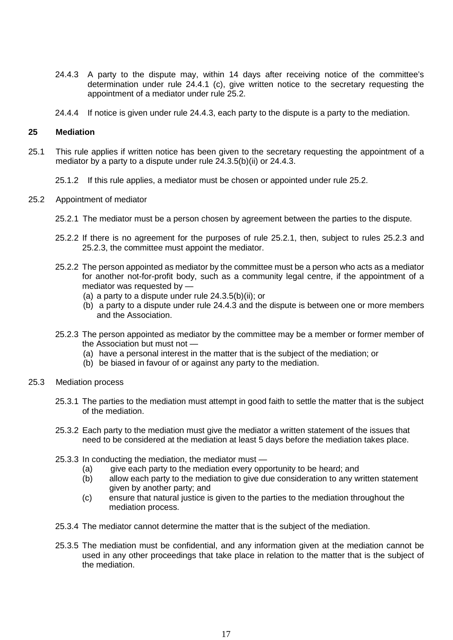- 24.4.3 A party to the dispute may, within 14 days after receiving notice of the committee's determination under rule 24.4.1 (c), give written notice to the secretary requesting the appointment of a mediator under rule 25.2.
- 24.4.4 If notice is given under rule 24.4.3, each party to the dispute is a party to the mediation.

#### **25 Mediation**

- 25.1 This rule applies if written notice has been given to the secretary requesting the appointment of a mediator by a party to a dispute under rule 24.3.5(b)(ii) or 24.4.3.
	- 25.1.2 If this rule applies, a mediator must be chosen or appointed under rule 25.2.
- 25.2 Appointment of mediator
	- 25.2.1 The mediator must be a person chosen by agreement between the parties to the dispute.
	- 25.2.2 If there is no agreement for the purposes of rule 25.2.1, then, subject to rules 25.2.3 and 25.2.3, the committee must appoint the mediator.
	- 25.2.2 The person appointed as mediator by the committee must be a person who acts as a mediator for another not-for-profit body, such as a community legal centre, if the appointment of a mediator was requested by —
		- (a) a party to a dispute under rule 24.3.5(b)(ii); or
		- (b) a party to a dispute under rule 24.4.3 and the dispute is between one or more members and the Association.
	- 25.2.3 The person appointed as mediator by the committee may be a member or former member of the Association but must not —
		- (a) have a personal interest in the matter that is the subject of the mediation; or
		- (b) be biased in favour of or against any party to the mediation.
- 25.3 Mediation process
	- 25.3.1 The parties to the mediation must attempt in good faith to settle the matter that is the subject of the mediation.
	- 25.3.2 Each party to the mediation must give the mediator a written statement of the issues that need to be considered at the mediation at least 5 days before the mediation takes place.
	- 25.3.3 In conducting the mediation, the mediator must
		- (a) give each party to the mediation every opportunity to be heard; and
		- (b) allow each party to the mediation to give due consideration to any written statement given by another party; and
		- (c) ensure that natural justice is given to the parties to the mediation throughout the mediation process.
	- 25.3.4 The mediator cannot determine the matter that is the subject of the mediation.
	- 25.3.5 The mediation must be confidential, and any information given at the mediation cannot be used in any other proceedings that take place in relation to the matter that is the subject of the mediation.